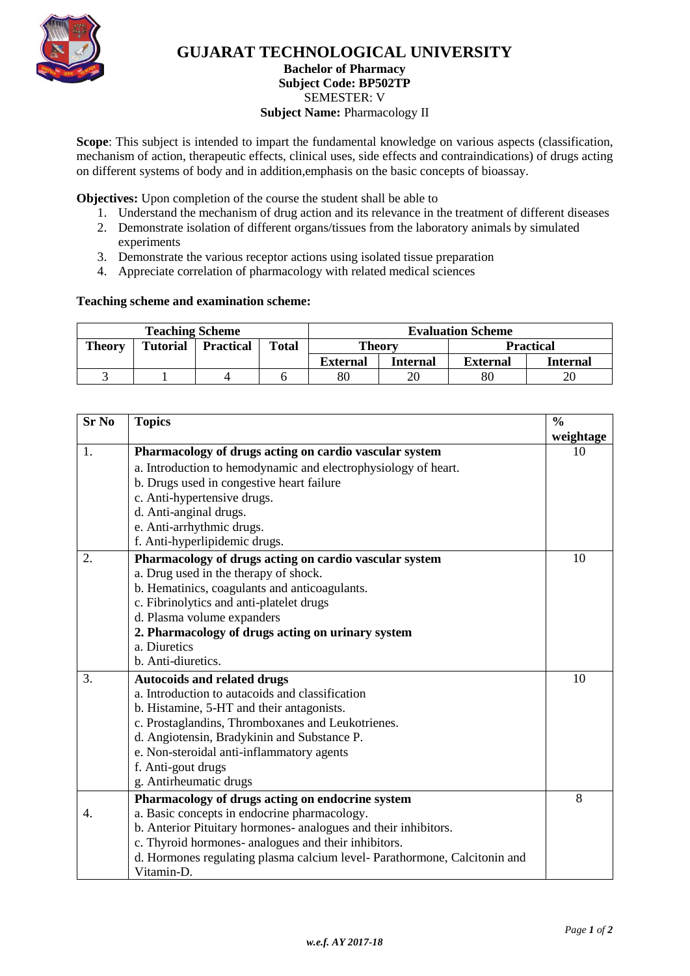

# **GUJARAT TECHNOLOGICAL UNIVERSITY**

#### **Bachelor of Pharmacy Subject Code: BP502TP** SEMESTER: V **Subject Name: Pharmacology II**

**Scope**: This subject is intended to impart the fundamental knowledge on various aspects (classification, mechanism of action, therapeutic effects, clinical uses, side effects and contraindications) of drugs acting on different systems of body and in addition,emphasis on the basic concepts of bioassay.

**Objectives:** Upon completion of the course the student shall be able to

- 1. Understand the mechanism of drug action and its relevance in the treatment of different diseases
- 2. Demonstrate isolation of different organs/tissues from the laboratory animals by simulated experiments
- 3. Demonstrate the various receptor actions using isolated tissue preparation
- 4. Appreciate correlation of pharmacology with related medical sciences

#### **Teaching scheme and examination scheme:**

| <b>Teaching Scheme</b> |                 |                  |              | <b>Evaluation Scheme</b> |          |                  |                 |
|------------------------|-----------------|------------------|--------------|--------------------------|----------|------------------|-----------------|
| <b>Theory</b>          | <b>Tutorial</b> | <b>Practical</b> | <b>Total</b> | <b>Theory</b>            |          | <b>Practical</b> |                 |
|                        |                 |                  |              | <b>External</b>          | Internal | <b>External</b>  | <b>Internal</b> |
|                        |                 |                  |              | 80                       |          | 80               | 20              |

| <b>Sr No</b> | <b>Topics</b>                                                             | $\frac{0}{0}$ |
|--------------|---------------------------------------------------------------------------|---------------|
|              |                                                                           | weightage     |
| 1.           | Pharmacology of drugs acting on cardio vascular system                    | 10            |
|              | a. Introduction to hemodynamic and electrophysiology of heart.            |               |
|              | b. Drugs used in congestive heart failure                                 |               |
|              | c. Anti-hypertensive drugs.                                               |               |
|              | d. Anti-anginal drugs.                                                    |               |
|              | e. Anti-arrhythmic drugs.                                                 |               |
|              | f. Anti-hyperlipidemic drugs.                                             |               |
| 2.           | Pharmacology of drugs acting on cardio vascular system                    | 10            |
|              | a. Drug used in the therapy of shock.                                     |               |
|              | b. Hematinics, coagulants and anticoagulants.                             |               |
|              | c. Fibrinolytics and anti-platelet drugs                                  |               |
|              | d. Plasma volume expanders                                                |               |
|              | 2. Pharmacology of drugs acting on urinary system                         |               |
|              | a. Diuretics                                                              |               |
|              | b. Anti-diuretics.                                                        |               |
| 3.           | <b>Autocoids and related drugs</b>                                        | 10            |
|              | a. Introduction to autacoids and classification                           |               |
|              | b. Histamine, 5-HT and their antagonists.                                 |               |
|              | c. Prostaglandins, Thromboxanes and Leukotrienes.                         |               |
|              | d. Angiotensin, Bradykinin and Substance P.                               |               |
|              | e. Non-steroidal anti-inflammatory agents                                 |               |
|              | f. Anti-gout drugs                                                        |               |
|              | g. Antirheumatic drugs                                                    |               |
|              | Pharmacology of drugs acting on endocrine system                          | 8             |
| 4.           | a. Basic concepts in endocrine pharmacology.                              |               |
|              | b. Anterior Pituitary hormones- analogues and their inhibitors.           |               |
|              | c. Thyroid hormones- analogues and their inhibitors.                      |               |
|              | d. Hormones regulating plasma calcium level- Parathormone, Calcitonin and |               |
|              | Vitamin-D.                                                                |               |